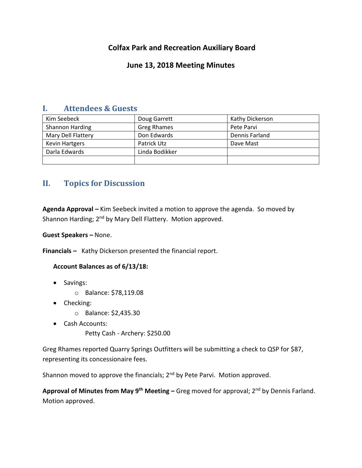# **Colfax Park and Recreation Auxiliary Board**

## **June 13, 2018 Meeting Minutes**

## **I. Attendees & Guests**

| Kim Seebeck            | Doug Garrett       | Kathy Dickerson |
|------------------------|--------------------|-----------------|
| <b>Shannon Harding</b> | <b>Greg Rhames</b> | Pete Parvi      |
| Mary Dell Flattery     | Don Edwards        | Dennis Farland  |
| <b>Kevin Hartgers</b>  | Patrick Utz        | Dave Mast       |
| Darla Edwards          | Linda Bodikker     |                 |
|                        |                    |                 |

# **II. Topics for Discussion**

**Agenda Approval –** Kim Seebeck invited a motion to approve the agenda. So moved by Shannon Harding; 2<sup>nd</sup> by Mary Dell Flattery. Motion approved.

**Guest Speakers –** None.

**Financials –** Kathy Dickerson presented the financial report.

## **Account Balances as of 6/13/18:**

- Savings:
	- o Balance: \$78,119.08
- Checking:
	- o Balance: \$2,435.30
- Cash Accounts:
	- Petty Cash Archery: \$250.00

Greg Rhames reported Quarry Springs Outfitters will be submitting a check to QSP for \$87, representing its concessionaire fees.

Shannon moved to approve the financials; 2<sup>nd</sup> by Pete Parvi. Motion approved.

**Approval of Minutes from May 9th Meeting –** Greg moved for approval; 2nd by Dennis Farland. Motion approved.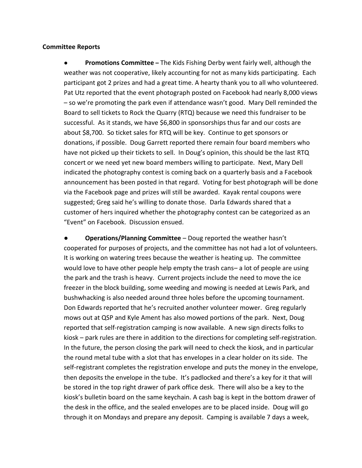#### **Committee Reports**

● **Promotions Committee –** The Kids Fishing Derby went fairly well, although the weather was not cooperative, likely accounting for not as many kids participating. Each participant got 2 prizes and had a great time. A hearty thank you to all who volunteered. Pat Utz reported that the event photograph posted on Facebook had nearly 8,000 views – so we're promoting the park even if attendance wasn't good. Mary Dell reminded the Board to sell tickets to Rock the Quarry (RTQ) because we need this fundraiser to be successful. As it stands, we have \$6,800 in sponsorships thus far and our costs are about \$8,700. So ticket sales for RTQ will be key. Continue to get sponsors or donations, if possible. Doug Garrett reported there remain four board members who have not picked up their tickets to sell. In Doug's opinion, this should be the last RTQ concert or we need yet new board members willing to participate. Next, Mary Dell indicated the photography contest is coming back on a quarterly basis and a Facebook announcement has been posted in that regard. Voting for best photograph will be done via the Facebook page and prizes will still be awarded. Kayak rental coupons were suggested; Greg said he's willing to donate those. Darla Edwards shared that a customer of hers inquired whether the photography contest can be categorized as an "Event" on Facebook. Discussion ensued.

**Operations/Planning Committee** – Doug reported the weather hasn't cooperated for purposes of projects, and the committee has not had a lot of volunteers. It is working on watering trees because the weather is heating up. The committee would love to have other people help empty the trash cans– a lot of people are using the park and the trash is heavy. Current projects include the need to move the ice freezer in the block building, some weeding and mowing is needed at Lewis Park, and bushwhacking is also needed around three holes before the upcoming tournament. Don Edwards reported that he's recruited another volunteer mower. Greg regularly mows out at QSP and Kyle Ament has also mowed portions of the park. Next, Doug reported that self-registration camping is now available. A new sign directs folks to kiosk – park rules are there in addition to the directions for completing self-registration. In the future, the person closing the park will need to check the kiosk, and in particular the round metal tube with a slot that has envelopes in a clear holder on its side. The self-registrant completes the registration envelope and puts the money in the envelope, then deposits the envelope in the tube. It's padlocked and there's a key for it that will be stored in the top right drawer of park office desk. There will also be a key to the kiosk's bulletin board on the same keychain. A cash bag is kept in the bottom drawer of the desk in the office, and the sealed envelopes are to be placed inside. Doug will go through it on Mondays and prepare any deposit. Camping is available 7 days a week,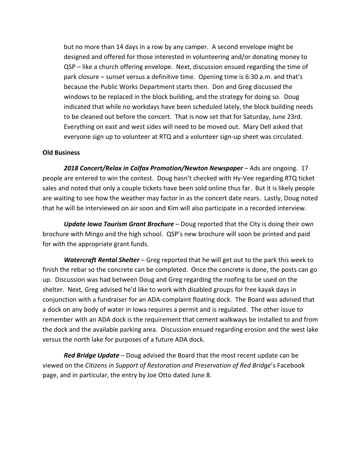but no more than 14 days in a row by any camper. A second envelope might be designed and offered for those interested in volunteering and/or donating money to QSP – like a church offering envelope. Next, discussion ensued regarding the time of park closure – sunset versus a definitive time. Opening time is 6:30 a.m. and that's because the Public Works Department starts then. Don and Greg discussed the windows to be replaced in the block building, and the strategy for doing so. Doug indicated that while no workdays have been scheduled lately, the block building needs to be cleaned out before the concert. That is now set that for Saturday, June 23rd. Everything on east and west sides will need to be moved out. Mary Dell asked that everyone sign up to volunteer at RTQ and a volunteer sign-up sheet was circulated.

## **Old Business**

*2018 Concert/Relax in Colfax Promotion/Newton Newspaper* – Ads are ongoing. 17 people are entered to win the contest. Doug hasn't checked with Hy-Vee regarding RTQ ticket sales and noted that only a couple tickets have been sold online thus far. But it is likely people are waiting to see how the weather may factor in as the concert date nears. Lastly, Doug noted that he will be interviewed on air soon and Kim will also participate in a recorded interview.

*Update Iowa Tourism Grant Brochure* – Doug reported that the City is doing their own brochure with Mingo and the high school. QSP's new brochure will soon be printed and paid for with the appropriate grant funds.

*Watercraft Rental Shelter* – Greg reported that he will get out to the park this week to finish the rebar so the concrete can be completed. Once the concrete is done, the posts can go up. Discussion was had between Doug and Greg regarding the roofing to be used on the shelter. Next, Greg advised he'd like to work with disabled groups for free kayak days in conjunction with a fundraiser for an ADA-complaint floating dock. The Board was advised that a dock on any body of water in Iowa requires a permit and is regulated. The other issue to remember with an ADA dock is the requirement that cement walkways be installed to and from the dock and the available parking area. Discussion ensued regarding erosion and the west lake versus the north lake for purposes of a future ADA dock.

*Red Bridge Update* – Doug advised the Board that the most recent update can be viewed on the *Citizens in Support of Restoration and Preservation of Red Bridge*'s Facebook page, and in particular, the entry by Joe Otto dated June 8.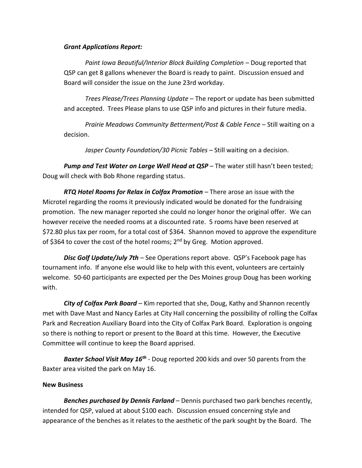### *Grant Applications Report:*

*Paint Iowa Beautiful/Interior Block Building Completion* – Doug reported that QSP can get 8 gallons whenever the Board is ready to paint. Discussion ensued and Board will consider the issue on the June 23rd workday.

*Trees Please/Trees Planning Update* – The report or update has been submitted and accepted. Trees Please plans to use QSP info and pictures in their future media.

*Prairie Meadows Community Betterment/Post & Cable Fence* – Still waiting on a decision.

*Jasper County Foundation/30 Picnic Tables* – Still waiting on a decision.

*Pump and Test Water on Large Well Head at QSP* – The water still hasn't been tested; Doug will check with Bob Rhone regarding status.

*RTQ Hotel Rooms for Relax in Colfax Promotion* – There arose an issue with the Microtel regarding the rooms it previously indicated would be donated for the fundraising promotion. The new manager reported she could no longer honor the original offer. We can however receive the needed rooms at a discounted rate. 5 rooms have been reserved at \$72.80 plus tax per room, for a total cost of \$364. Shannon moved to approve the expenditure of \$364 to cover the cost of the hotel rooms; 2<sup>nd</sup> by Greg. Motion approved.

*Disc Golf Update/July 7th* – See Operations report above. QSP's Facebook page has tournament info. If anyone else would like to help with this event, volunteers are certainly welcome. 50-60 participants are expected per the Des Moines group Doug has been working with.

*City of Colfax Park Board* – Kim reported that she, Doug, Kathy and Shannon recently met with Dave Mast and Nancy Earles at City Hall concerning the possibility of rolling the Colfax Park and Recreation Auxiliary Board into the City of Colfax Park Board. Exploration is ongoing so there is nothing to report or present to the Board at this time. However, the Executive Committee will continue to keep the Board apprised.

*Baxter School Visit May 16th* - Doug reported 200 kids and over 50 parents from the Baxter area visited the park on May 16.

## **New Business**

*Benches purchased by Dennis Farland* – Dennis purchased two park benches recently, intended for QSP, valued at about \$100 each. Discussion ensued concerning style and appearance of the benches as it relates to the aesthetic of the park sought by the Board. The